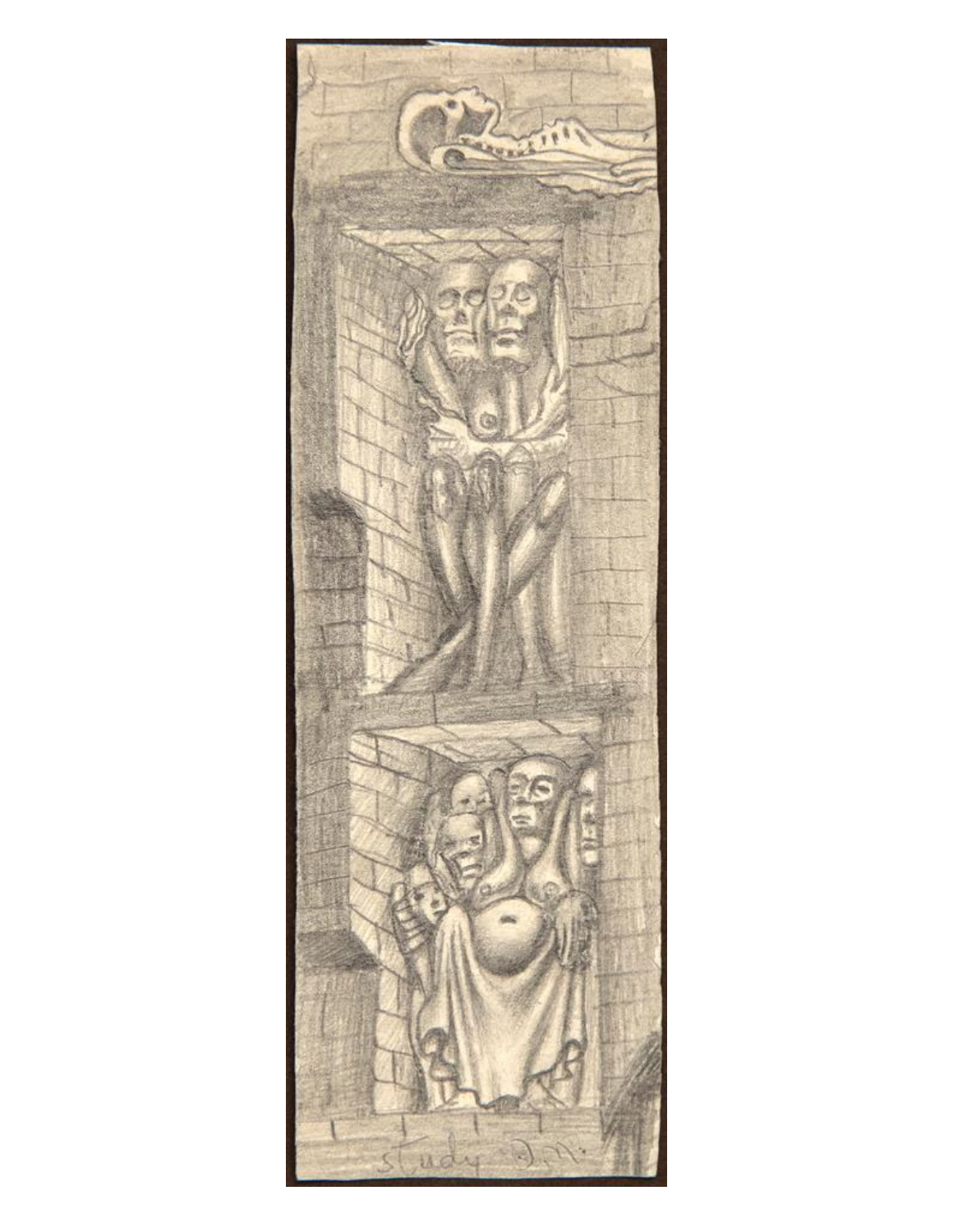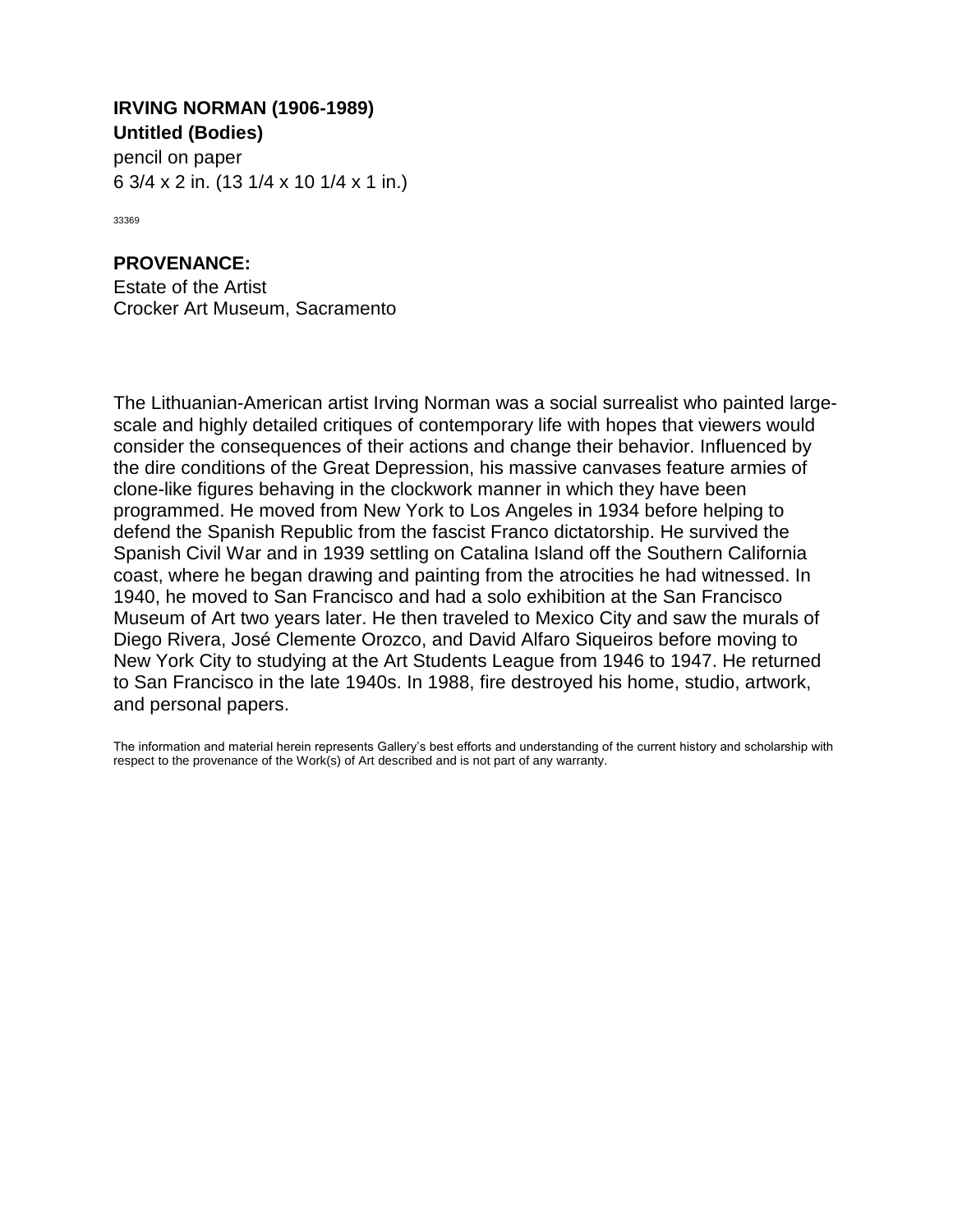## **Untitled (Bodies) IRVING NORMAN (1906-1989)**

6 3/4 x 2 in. (13 1/4 x 10 1/4 x 1 in.) pencil on paper

33369

## **PROVENANCE:**

Estate of the Artist Crocker Art Museum, Sacramento

The Lithuanian-American artist Irving Norman was a social surrealist who painted largescale and highly detailed critiques of contemporary life with hopes that viewers would consider the consequences of their actions and change their behavior. Influenced by the dire conditions of the Great Depression, his massive canvases feature armies of clone-like figures behaving in the clockwork manner in which they have been programmed. He moved from New York to Los Angeles in 1934 before helping to defend the Spanish Republic from the fascist Franco dictatorship. He survived the Spanish Civil War and in 1939 settling on Catalina Island off the Southern California coast, where he began drawing and painting from the atrocities he had witnessed. In 1940, he moved to San Francisco and had a solo exhibition at the San Francisco Museum of Art two years later. He then traveled to Mexico City and saw the murals of Diego Rivera, José Clemente Orozco, and David Alfaro Siqueiros before moving to New York City to studying at the Art Students League from 1946 to 1947. He returned to San Francisco in the late 1940s. In 1988, fire destroyed his home, studio, artwork, and personal papers.

The information and material herein represents Gallery's best efforts and understanding of the current history and scholarship with respect to the provenance of the Work(s) of Art described and is not part of any warranty.